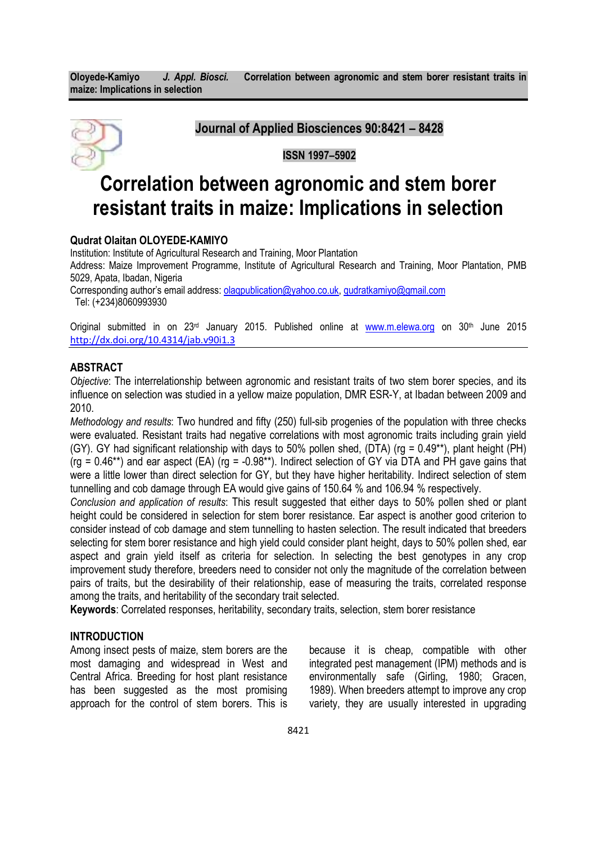

Journal of Applied Biosciences 90:8421 – 8428

# ISSN 1997–5902

# Correlation between agronomic and stem borer resistant traits in maize: Implications in selection

# Qudrat Olaitan OLOYEDE-KAMIYO

Institution: Institute of Agricultural Research and Training, Moor Plantation Address: Maize Improvement Programme, Institute of Agricultural Research and Training, Moor Plantation, PMB 5029, Apata, Ibadan, Nigeria Corresponding author's email address: **olaqpublication@yahoo.co.uk**, qudratkamiyo@gmail.com

Tel: (+234)8060993930

Original submitted in on 23<sup>rd</sup> January 2015. Published online at www.m.elewa.org on 30<sup>th</sup> June 2015 http://dx.doi.org/10.4314/jab.v90i1.3

## ABSTRACT

Objective: The interrelationship between agronomic and resistant traits of two stem borer species, and its influence on selection was studied in a yellow maize population, DMR ESR-Y, at Ibadan between 2009 and 2010.

Methodology and results: Two hundred and fifty (250) full-sib progenies of the population with three checks were evaluated. Resistant traits had negative correlations with most agronomic traits including grain yield (GY). GY had significant relationship with days to 50% pollen shed, (DTA) (rg = 0.49\*\*), plant height (PH) (rg =  $0.46**$ ) and ear aspect (EA) (rg = -0.98\*\*). Indirect selection of GY via DTA and PH gave gains that were a little lower than direct selection for GY, but they have higher heritability. Indirect selection of stem tunnelling and cob damage through EA would give gains of 150.64 % and 106.94 % respectively.

Conclusion and application of results: This result suggested that either days to 50% pollen shed or plant height could be considered in selection for stem borer resistance. Ear aspect is another good criterion to consider instead of cob damage and stem tunnelling to hasten selection. The result indicated that breeders selecting for stem borer resistance and high yield could consider plant height, days to 50% pollen shed, ear aspect and grain yield itself as criteria for selection. In selecting the best genotypes in any crop improvement study therefore, breeders need to consider not only the magnitude of the correlation between pairs of traits, but the desirability of their relationship, ease of measuring the traits, correlated response among the traits, and heritability of the secondary trait selected.

Keywords: Correlated responses, heritability, secondary traits, selection, stem borer resistance

# INTRODUCTION

Among insect pests of maize, stem borers are the most damaging and widespread in West and Central Africa. Breeding for host plant resistance has been suggested as the most promising approach for the control of stem borers. This is

because it is cheap, compatible with other integrated pest management (IPM) methods and is environmentally safe (Girling, 1980; Gracen, 1989). When breeders attempt to improve any crop variety, they are usually interested in upgrading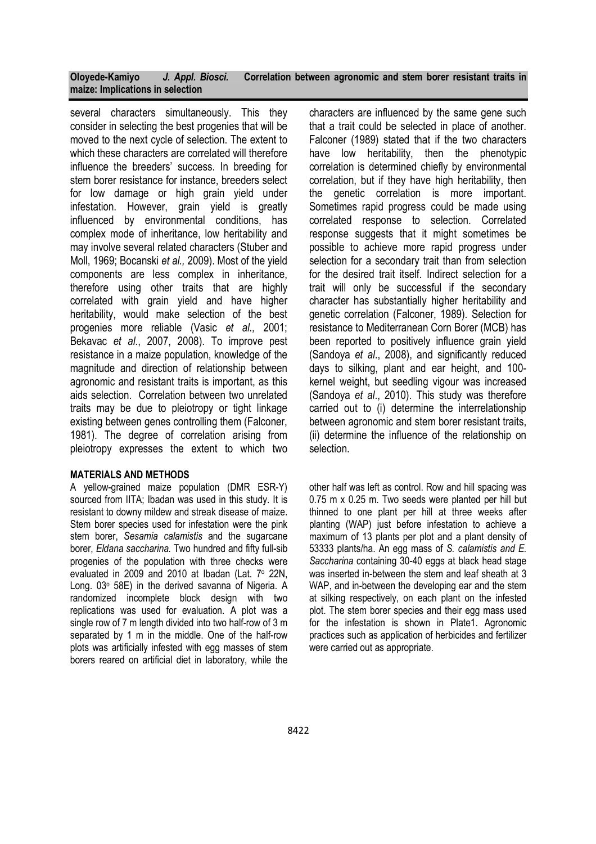several characters simultaneously. This they consider in selecting the best progenies that will be moved to the next cycle of selection. The extent to which these characters are correlated will therefore influence the breeders' success. In breeding for stem borer resistance for instance, breeders select for low damage or high grain yield under infestation. However, grain yield is greatly influenced by environmental conditions, has complex mode of inheritance, low heritability and may involve several related characters (Stuber and Moll, 1969; Bocanski et al., 2009). Most of the yield components are less complex in inheritance, therefore using other traits that are highly correlated with grain yield and have higher heritability, would make selection of the best progenies more reliable (Vasic et al., 2001; Bekavac et al., 2007, 2008). To improve pest resistance in a maize population, knowledge of the magnitude and direction of relationship between agronomic and resistant traits is important, as this aids selection. Correlation between two unrelated traits may be due to pleiotropy or tight linkage existing between genes controlling them (Falconer, 1981). The degree of correlation arising from pleiotropy expresses the extent to which two

#### MATERIALS AND METHODS

A yellow-grained maize population (DMR ESR-Y) sourced from IITA: Ibadan was used in this study. It is resistant to downy mildew and streak disease of maize. Stem borer species used for infestation were the pink stem borer, Sesamia calamistis and the sugarcane borer, Eldana saccharina. Two hundred and fifty full-sib progenies of the population with three checks were evaluated in 2009 and 2010 at Ibadan (Lat. 7° 22N, Long. 03° 58E) in the derived savanna of Nigeria. A randomized incomplete block design with two replications was used for evaluation. A plot was a single row of 7 m length divided into two half-row of 3 m separated by 1 m in the middle. One of the half-row plots was artificially infested with egg masses of stem borers reared on artificial diet in laboratory, while the

characters are influenced by the same gene such that a trait could be selected in place of another. Falconer (1989) stated that if the two characters have low heritability, then the phenotypic correlation is determined chiefly by environmental correlation, but if they have high heritability, then the genetic correlation is more important. Sometimes rapid progress could be made using correlated response to selection. Correlated response suggests that it might sometimes be possible to achieve more rapid progress under selection for a secondary trait than from selection for the desired trait itself. Indirect selection for a trait will only be successful if the secondary character has substantially higher heritability and genetic correlation (Falconer, 1989). Selection for resistance to Mediterranean Corn Borer (MCB) has been reported to positively influence grain yield (Sandoya et al., 2008), and significantly reduced days to silking, plant and ear height, and 100 kernel weight, but seedling vigour was increased (Sandoya et al., 2010). This study was therefore carried out to (i) determine the interrelationship between agronomic and stem borer resistant traits, (ii) determine the influence of the relationship on selection.

other half was left as control. Row and hill spacing was 0.75 m x 0.25 m. Two seeds were planted per hill but thinned to one plant per hill at three weeks after planting (WAP) just before infestation to achieve a maximum of 13 plants per plot and a plant density of 53333 plants/ha. An egg mass of S. calamistis and E. Saccharina containing 30-40 eggs at black head stage was inserted in-between the stem and leaf sheath at 3 WAP, and in-between the developing ear and the stem at silking respectively, on each plant on the infested plot. The stem borer species and their egg mass used for the infestation is shown in Plate1. Agronomic practices such as application of herbicides and fertilizer were carried out as appropriate.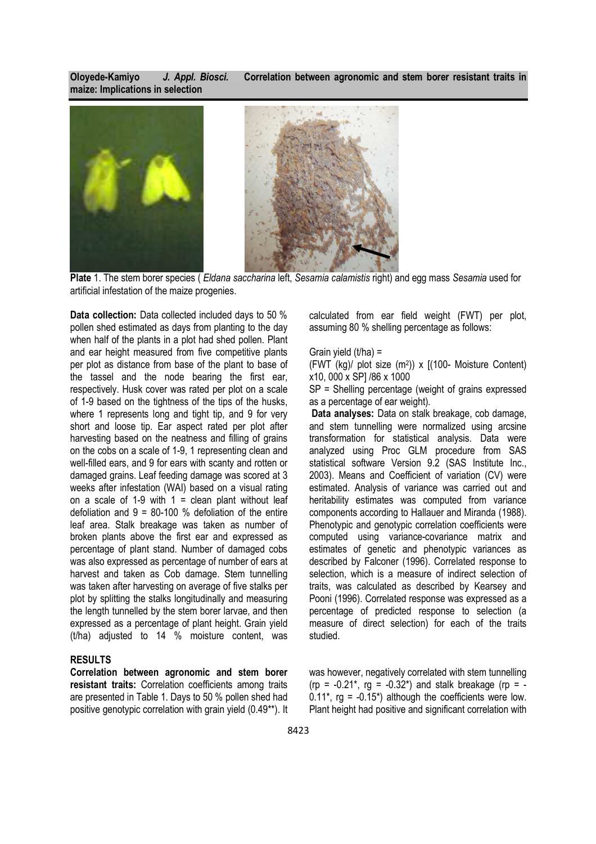

Plate 1. The stem borer species (*Eldana saccharina* left, Sesamia calamistis right) and egg mass Sesamia used for artificial infestation of the maize progenies.

Data collection: Data collected included days to 50 % pollen shed estimated as days from planting to the day when half of the plants in a plot had shed pollen. Plant and ear height measured from five competitive plants per plot as distance from base of the plant to base of the tassel and the node bearing the first ear, respectively. Husk cover was rated per plot on a scale of 1-9 based on the tightness of the tips of the husks, where 1 represents long and tight tip, and 9 for very short and loose tip. Ear aspect rated per plot after harvesting based on the neatness and filling of grains on the cobs on a scale of 1-9, 1 representing clean and well-filled ears, and 9 for ears with scanty and rotten or damaged grains. Leaf feeding damage was scored at 3 weeks after infestation (WAI) based on a visual rating on a scale of 1-9 with  $1 =$  clean plant without leaf defoliation and  $9 = 80-100$  % defoliation of the entire leaf area. Stalk breakage was taken as number of broken plants above the first ear and expressed as percentage of plant stand. Number of damaged cobs was also expressed as percentage of number of ears at harvest and taken as Cob damage. Stem tunnelling was taken after harvesting on average of five stalks per plot by splitting the stalks longitudinally and measuring the length tunnelled by the stem borer larvae, and then expressed as a percentage of plant height. Grain yield (t/ha) adjusted to 14 % moisture content, was

#### RESULTS

Correlation between agronomic and stem borer resistant traits: Correlation coefficients among traits are presented in Table 1. Days to 50 % pollen shed had positive genotypic correlation with grain yield (0.49\*\*). It calculated from ear field weight (FWT) per plot, assuming 80 % shelling percentage as follows:

#### Grain yield  $(t/ha) =$

(FWT (kg)/ plot size (m<sup>2</sup> )) x [(100- Moisture Content) x10, 000 x SP] /86 x 1000

SP = Shelling percentage (weight of grains expressed as a percentage of ear weight).

Data analyses: Data on stalk breakage, cob damage, and stem tunnelling were normalized using arcsine transformation for statistical analysis. Data were analyzed using Proc GLM procedure from SAS statistical software Version 9.2 (SAS Institute Inc., 2003). Means and Coefficient of variation (CV) were estimated. Analysis of variance was carried out and heritability estimates was computed from variance components according to Hallauer and Miranda (1988). Phenotypic and genotypic correlation coefficients were computed using variance-covariance matrix and estimates of genetic and phenotypic variances as described by Falconer (1996). Correlated response to selection, which is a measure of indirect selection of traits, was calculated as described by Kearsey and Pooni (1996). Correlated response was expressed as a percentage of predicted response to selection (a measure of direct selection) for each of the traits studied.

was however, negatively correlated with stem tunnelling (rp =  $-0.21^*$ , rg =  $-0.32^*$ ) and stalk breakage (rp =  $0.11^*$ , rg =  $-0.15^*$ ) although the coefficients were low. Plant height had positive and significant correlation with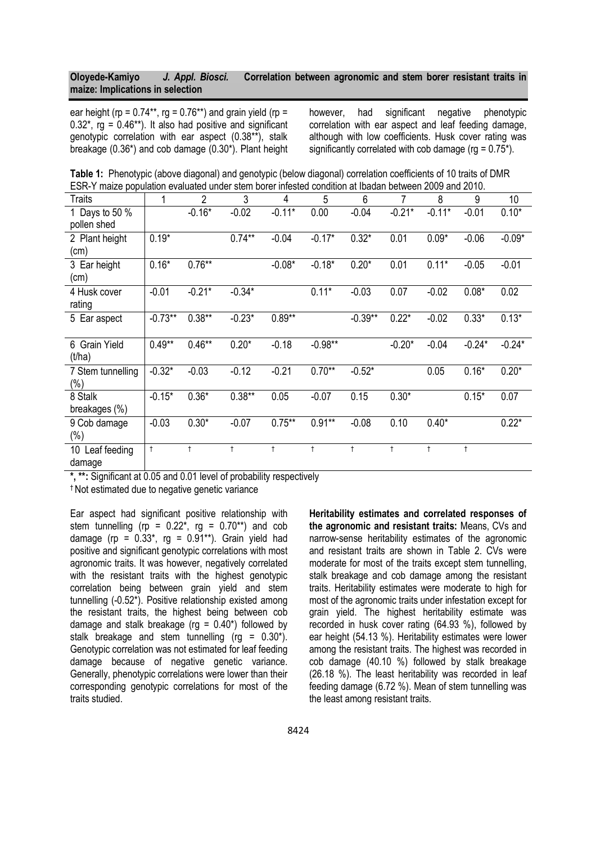ear height (rp =  $0.74**$ , rg =  $0.76**$ ) and grain yield (rp =  $0.32^*$ , rg =  $0.46^{**}$ ). It also had positive and significant genotypic correlation with ear aspect (0.38\*\*), stalk breakage (0.36\*) and cob damage (0.30\*). Plant height however, had significant negative phenotypic correlation with ear aspect and leaf feeding damage, although with low coefficients. Husk cover rating was significantly correlated with cob damage ( $ra = 0.75$ \*).

Table 1: Phenotypic (above diagonal) and genotypic (below diagonal) correlation coefficients of 10 traits of DMR ESR-Y maize population evaluated under stem borer infested condition at Ibadan between 2009 and 2010.

| Traits             | 1          | $\overline{2}$ | 3          | 4         | 5          | 6          | 7          | 8          | 9          | 10       |
|--------------------|------------|----------------|------------|-----------|------------|------------|------------|------------|------------|----------|
| 1 Days to 50 %     |            | $-0.16*$       | $-0.02$    | $-0.11*$  | 0.00       | $-0.04$    | $-0.21*$   | $-0.11*$   | $-0.01$    | $0.10*$  |
| pollen shed        |            |                |            |           |            |            |            |            |            |          |
| 2 Plant height     | $0.19*$    |                | $0.74**$   | $-0.04$   | $-0.17*$   | $0.32*$    | 0.01       | $0.09*$    | $-0.06$    | $-0.09*$ |
| (cm)               |            |                |            |           |            |            |            |            |            |          |
| 3 Ear height       | $0.16*$    | $0.76**$       |            | $-0.08*$  | $-0.18*$   | $0.20*$    | 0.01       | $0.11*$    | $-0.05$    | $-0.01$  |
| (cm)               |            |                |            |           |            |            |            |            |            |          |
| 4 Husk cover       | $-0.01$    | $-0.21*$       | $-0.34*$   |           | $0.11*$    | $-0.03$    | 0.07       | $-0.02$    | $0.08*$    | 0.02     |
| rating             |            |                |            |           |            |            |            |            |            |          |
| 5 Ear aspect       | $-0.73**$  | $0.38**$       | $-0.23*$   | $0.89**$  |            | $-0.39**$  | $0.22*$    | $-0.02$    | $0.33*$    | $0.13*$  |
|                    |            |                |            |           |            |            |            |            |            |          |
| 6 Grain Yield      | $0.49**$   | $0.46**$       | $0.20*$    | $-0.18$   | $-0.98**$  |            | $-0.20*$   | $-0.04$    | $-0.24*$   | $-0.24*$ |
| (t/ha)             |            |                |            |           |            |            |            |            |            |          |
| 7 Stem tunnelling  | $-0.32*$   | $-0.03$        | $-0.12$    | $-0.21$   | $0.70**$   | $-0.52*$   |            | 0.05       | $0.16*$    | $0.20*$  |
| $(\% )$            |            |                |            |           |            |            |            |            |            |          |
| 8 Stalk            | $-0.15*$   | $0.36*$        | $0.38**$   | 0.05      | $-0.07$    | 0.15       | $0.30*$    |            | $0.15*$    | 0.07     |
| breakages (%)      |            |                |            |           |            |            |            |            |            |          |
| 9 Cob damage       | $-0.03$    | $0.30*$        | $-0.07$    | $0.75***$ | $0.91**$   | $-0.08$    | 0.10       | $0.40*$    |            | $0.22*$  |
| $(\% )$            |            |                |            |           |            |            |            |            |            |          |
| 10<br>Leaf feeding | $\ddagger$ | $\ddagger$     | $\ddagger$ | Ť         | $\ddagger$ | $\ddagger$ | $\ddagger$ | $\ddagger$ | $\ddagger$ |          |
| damage             |            |                |            |           |            |            |            |            |            |          |

\*, \*\*: Significant at 0.05 and 0.01 level of probability respectively

† Not estimated due to negative genetic variance

Ear aspect had significant positive relationship with stem tunnelling (rp =  $0.22^*$ , rg =  $0.70^{**}$ ) and cob damage (rp =  $0.33^*$ , rg =  $0.91^{**}$ ). Grain yield had positive and significant genotypic correlations with most agronomic traits. It was however, negatively correlated with the resistant traits with the highest genotypic correlation being between grain yield and stem tunnelling (-0.52\*). Positive relationship existed among the resistant traits, the highest being between cob damage and stalk breakage ( $rg = 0.40^*$ ) followed by stalk breakage and stem tunnelling ( $r = 0.30$ <sup>\*</sup>). Genotypic correlation was not estimated for leaf feeding damage because of negative genetic variance. Generally, phenotypic correlations were lower than their corresponding genotypic correlations for most of the traits studied.

Heritability estimates and correlated responses of the agronomic and resistant traits: Means, CVs and narrow-sense heritability estimates of the agronomic and resistant traits are shown in Table 2. CVs were moderate for most of the traits except stem tunnelling, stalk breakage and cob damage among the resistant traits. Heritability estimates were moderate to high for most of the agronomic traits under infestation except for grain yield. The highest heritability estimate was recorded in husk cover rating (64.93 %), followed by ear height (54.13 %). Heritability estimates were lower among the resistant traits. The highest was recorded in cob damage (40.10 %) followed by stalk breakage (26.18 %). The least heritability was recorded in leaf feeding damage (6.72 %). Mean of stem tunnelling was the least among resistant traits.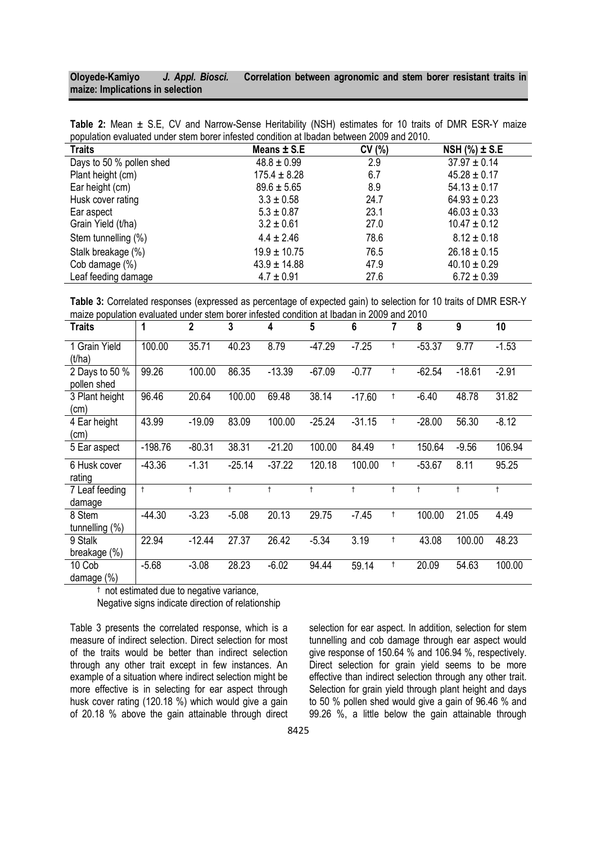| <b>Traits</b> | Means $\pm$ S.E.                                                                                                   | CV(%) | NSH $(\%) \pm S.E$ |  |
|---------------|--------------------------------------------------------------------------------------------------------------------|-------|--------------------|--|
|               | population evaluated under stem borer infested condition at Ibadan between 2009 and 2010.                          |       |                    |  |
|               | <b>Table 2:</b> Mean $\pm$ S.E., CV and Narrow-Sense Heritability (NSH) estimates for 10 traits of DMR ESR-Y maize |       |                    |  |

| <b>Iraits</b>            | Means I S.E      | <b>UV</b> (70) | $N$ 30 (70) $\pm$ 3.2 |
|--------------------------|------------------|----------------|-----------------------|
| Days to 50 % pollen shed | $48.8 \pm 0.99$  | 2.9            | $37.97 \pm 0.14$      |
| Plant height (cm)        | $175.4 \pm 8.28$ | 6.7            | $45.28 \pm 0.17$      |
| Ear height (cm)          | $89.6 \pm 5.65$  | 8.9            | $54.13 \pm 0.17$      |
| Husk cover rating        | $3.3 \pm 0.58$   | 24.7           | $64.93 \pm 0.23$      |
| Ear aspect               | $5.3 \pm 0.87$   | 23.1           | $46.03 \pm 0.33$      |
| Grain Yield (t/ha)       | $3.2 \pm 0.61$   | 27.0           | $10.47 \pm 0.12$      |
| Stem tunnelling (%)      | $4.4 \pm 2.46$   | 78.6           | $8.12 \pm 0.18$       |
| Stalk breakage (%)       | $19.9 \pm 10.75$ | 76.5           | $26.18 \pm 0.15$      |
| Cob damage (%)           | $43.9 \pm 14.88$ | 47.9           | $40.10 \pm 0.29$      |
| Leaf feeding damage      | $4.7 \pm 0.91$   | 27.6           | $6.72 \pm 0.39$       |

Table 3: Correlated responses (expressed as percentage of expected gain) to selection for 10 traits of DMR ESR-Y maize population evaluated under stem borer infested condition at Ibadan in 2009 and 2010

| <b>Traits</b>                 | 1          | $\overline{2}$ | 3          | 4          | 5          | $6\phantom{1}$ | 7          | 8          | 9          | 10         |
|-------------------------------|------------|----------------|------------|------------|------------|----------------|------------|------------|------------|------------|
| 1 Grain Yield<br>(t/ha)       | 100.00     | 35.71          | 40.23      | 8.79       | $-47.29$   | $-7.25$        | Ť          | $-53.37$   | 9.77       | $-1.53$    |
| 2 Days to 50 %<br>pollen shed | 99.26      | 100.00         | 86.35      | $-13.39$   | $-67.09$   | $-0.77$        | $\ddagger$ | $-62.54$   | $-18.61$   | $-2.91$    |
| 3 Plant height<br>(cm)        | 96.46      | 20.64          | 100.00     | 69.48      | 38.14      | $-17.60$       | Ť          | $-6.40$    | 48.78      | 31.82      |
| 4 Ear height<br>(cm)          | 43.99      | $-19.09$       | 83.09      | 100.00     | $-25.24$   | $-31.15$       | $^\dagger$ | $-28.00$   | 56.30      | $-8.12$    |
| 5 Ear aspect                  | $-198.76$  | $-80.31$       | 38.31      | $-21.20$   | 100.00     | 84.49          | Ť          | 150.64     | $-9.56$    | 106.94     |
| 6 Husk cover<br>rating        | $-43.36$   | $-1.31$        | $-25.14$   | $-37.22$   | 120.18     | 100.00         | Ť          | $-53.67$   | 8.11       | 95.25      |
| 7 Leaf feeding<br>damage      | $\ddagger$ |                | $\ddagger$ | $\ddagger$ | $\ddagger$ |                | $\ddagger$ | $\ddagger$ | $\ddagger$ | $\ddagger$ |
| 8 Stem<br>tunnelling $(\%)$   | $-44.30$   | $-3.23$        | $-5.08$    | 20.13      | 29.75      | $-7.45$        | Ť          | 100.00     | 21.05      | 4.49       |
| 9 Stalk<br>breakage (%)       | 22.94      | $-12.44$       | 27.37      | 26.42      | $-5.34$    | 3.19           | $\ddagger$ | 43.08      | 100.00     | 48.23      |
| 10 Cob<br>damage (%)          | $-5.68$    | $-3.08$        | 28.23      | $-6.02$    | 94.44      | 59.14          | $^\dagger$ | 20.09      | 54.63      | 100.00     |

† not estimated due to negative variance,

Negative signs indicate direction of relationship

Table 3 presents the correlated response, which is a measure of indirect selection. Direct selection for most of the traits would be better than indirect selection through any other trait except in few instances. An example of a situation where indirect selection might be more effective is in selecting for ear aspect through husk cover rating (120.18 %) which would give a gain of 20.18 % above the gain attainable through direct selection for ear aspect. In addition, selection for stem tunnelling and cob damage through ear aspect would give response of 150.64 % and 106.94 %, respectively. Direct selection for grain yield seems to be more effective than indirect selection through any other trait. Selection for grain yield through plant height and days to 50 % pollen shed would give a gain of 96.46 % and 99.26 %, a little below the gain attainable through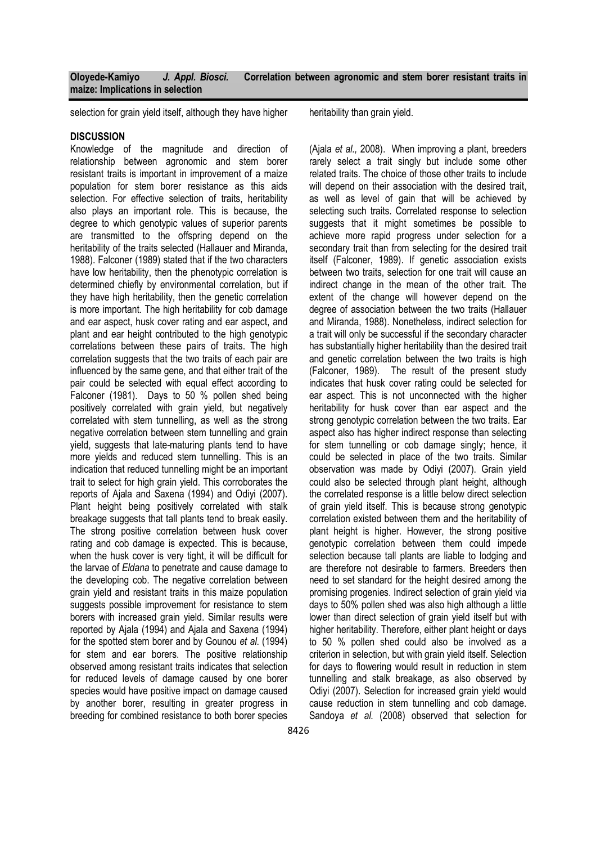selection for grain yield itself, although they have higher heritability than grain yield.

## **DISCUSSION**

Knowledge of the magnitude and direction of relationship between agronomic and stem borer resistant traits is important in improvement of a maize population for stem borer resistance as this aids selection. For effective selection of traits, heritability also plays an important role. This is because, the degree to which genotypic values of superior parents are transmitted to the offspring depend on the heritability of the traits selected (Hallauer and Miranda, 1988). Falconer (1989) stated that if the two characters have low heritability, then the phenotypic correlation is determined chiefly by environmental correlation, but if they have high heritability, then the genetic correlation is more important. The high heritability for cob damage and ear aspect, husk cover rating and ear aspect, and plant and ear height contributed to the high genotypic correlations between these pairs of traits. The high correlation suggests that the two traits of each pair are influenced by the same gene, and that either trait of the pair could be selected with equal effect according to Falconer (1981). Days to 50 % pollen shed being positively correlated with grain yield, but negatively correlated with stem tunnelling, as well as the strong negative correlation between stem tunnelling and grain yield, suggests that late-maturing plants tend to have more yields and reduced stem tunnelling. This is an indication that reduced tunnelling might be an important trait to select for high grain yield. This corroborates the reports of Ajala and Saxena (1994) and Odiyi (2007). Plant height being positively correlated with stalk breakage suggests that tall plants tend to break easily. The strong positive correlation between husk cover rating and cob damage is expected. This is because, when the husk cover is very tight, it will be difficult for the larvae of Eldana to penetrate and cause damage to the developing cob. The negative correlation between grain yield and resistant traits in this maize population suggests possible improvement for resistance to stem borers with increased grain yield. Similar results were reported by Ajala (1994) and Ajala and Saxena (1994) for the spotted stem borer and by Gounou et al. (1994) for stem and ear borers. The positive relationship observed among resistant traits indicates that selection for reduced levels of damage caused by one borer species would have positive impact on damage caused by another borer, resulting in greater progress in breeding for combined resistance to both borer species

(Ajala et al., 2008). When improving a plant, breeders rarely select a trait singly but include some other related traits. The choice of those other traits to include will depend on their association with the desired trait, as well as level of gain that will be achieved by selecting such traits. Correlated response to selection suggests that it might sometimes be possible to achieve more rapid progress under selection for a secondary trait than from selecting for the desired trait itself (Falconer, 1989). If genetic association exists between two traits, selection for one trait will cause an indirect change in the mean of the other trait. The extent of the change will however depend on the degree of association between the two traits (Hallauer and Miranda, 1988). Nonetheless, indirect selection for a trait will only be successful if the secondary character has substantially higher heritability than the desired trait and genetic correlation between the two traits is high (Falconer, 1989). The result of the present study indicates that husk cover rating could be selected for ear aspect. This is not unconnected with the higher heritability for husk cover than ear aspect and the strong genotypic correlation between the two traits. Ear aspect also has higher indirect response than selecting for stem tunnelling or cob damage singly; hence, it could be selected in place of the two traits. Similar observation was made by Odiyi (2007). Grain yield could also be selected through plant height, although the correlated response is a little below direct selection of grain yield itself. This is because strong genotypic correlation existed between them and the heritability of plant height is higher. However, the strong positive genotypic correlation between them could impede selection because tall plants are liable to lodging and are therefore not desirable to farmers. Breeders then need to set standard for the height desired among the promising progenies. Indirect selection of grain yield via days to 50% pollen shed was also high although a little lower than direct selection of grain yield itself but with higher heritability. Therefore, either plant height or days to 50 % pollen shed could also be involved as a criterion in selection, but with grain yield itself. Selection for days to flowering would result in reduction in stem tunnelling and stalk breakage, as also observed by Odiyi (2007). Selection for increased grain yield would cause reduction in stem tunnelling and cob damage. Sandoya et al. (2008) observed that selection for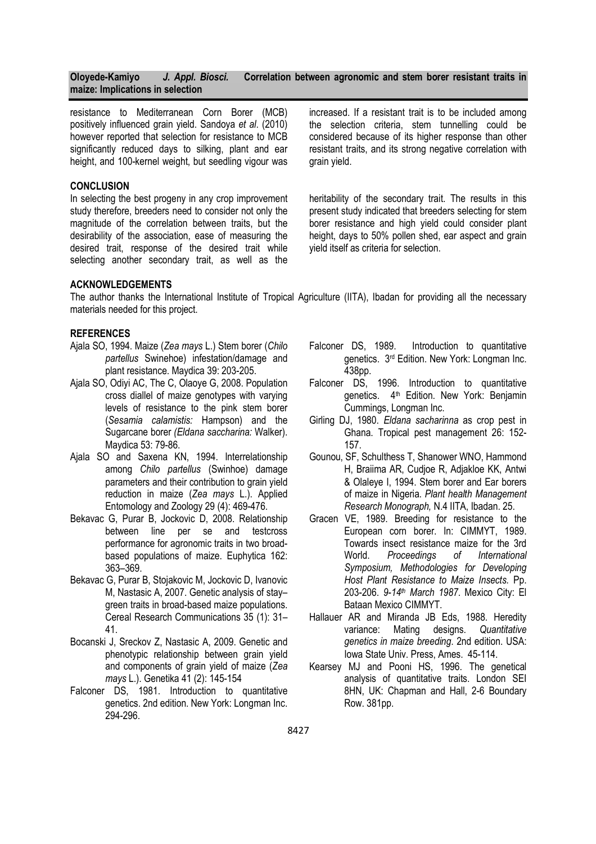resistance to Mediterranean Corn Borer (MCB) positively influenced grain yield. Sandoya et al. (2010) however reported that selection for resistance to MCB significantly reduced days to silking, plant and ear height, and 100-kernel weight, but seedling vigour was

#### **CONCLUSION**

In selecting the best progeny in any crop improvement study therefore, breeders need to consider not only the magnitude of the correlation between traits, but the desirability of the association, ease of measuring the desired trait, response of the desired trait while selecting another secondary trait, as well as the increased. If a resistant trait is to be included among the selection criteria, stem tunnelling could be considered because of its higher response than other resistant traits, and its strong negative correlation with grain yield.

heritability of the secondary trait. The results in this present study indicated that breeders selecting for stem borer resistance and high yield could consider plant height, days to 50% pollen shed, ear aspect and grain yield itself as criteria for selection.

#### ACKNOWLEDGEMENTS

The author thanks the International Institute of Tropical Agriculture (IITA), Ibadan for providing all the necessary materials needed for this project.

#### REFERENCES

- Ajala SO, 1994. Maize (Zea mays L.) Stem borer (Chilo partellus Swinehoe) infestation/damage and plant resistance. Maydica 39: 203-205.
- Ajala SO, Odiyi AC, The C, Olaoye G, 2008. Population cross diallel of maize genotypes with varying levels of resistance to the pink stem borer (Sesamia calamistis: Hampson) and the Sugarcane borer (Eldana saccharina: Walker). Maydica 53: 79-86.
- Ajala SO and Saxena KN, 1994. Interrelationship among Chilo partellus (Swinhoe) damage parameters and their contribution to grain yield reduction in maize (Zea mays L.). Applied Entomology and Zoology 29 (4): 469-476.
- Bekavac G, Purar B, Jockovic D, 2008. Relationship between line per se and testcross performance for agronomic traits in two broadbased populations of maize. Euphytica 162: 363–369.
- Bekavac G, Purar B, Stojakovic M, Jockovic D, Ivanovic M, Nastasic A, 2007. Genetic analysis of stay– green traits in broad-based maize populations. Cereal Research Communications 35 (1): 31– 41.
- Bocanski J, Sreckov Z, Nastasic A, 2009. Genetic and phenotypic relationship between grain yield and components of grain yield of maize (Zea mays L.). Genetika 41 (2): 145-154
- Falconer DS, 1981. Introduction to quantitative genetics. 2nd edition. New York: Longman Inc. 294-296.
- Falconer DS, 1989. Introduction to quantitative genetics. 3rd Edition. New York: Longman Inc. 438pp.
- Falconer DS, 1996. Introduction to quantitative genetics. 4<sup>th</sup> Edition. New York: Benjamin Cummings, Longman Inc.
- Girling DJ, 1980. Eldana sacharinna as crop pest in Ghana. Tropical pest management 26: 152- 157.
- Gounou, SF, Schulthess T, Shanower WNO, Hammond H, Braiima AR, Cudjoe R, Adjakloe KK, Antwi & Olaleye I, 1994. Stem borer and Ear borers of maize in Nigeria. Plant health Management Research Monograph, N.4 IITA, Ibadan. 25.
- Gracen VE, 1989. Breeding for resistance to the European corn borer. In: CIMMYT, 1989. Towards insect resistance maize for the 3rd<br>World. Proceedings of International Proceedings Symposium, Methodologies for Developing Host Plant Resistance to Maize Insects. Pp. 203-206. 9-14<sup>th</sup> March 1987. Mexico City: El Bataan Mexico CIMMYT.
- Hallauer AR and Miranda JB Eds, 1988. Heredity variance: Mating designs. Quantitative genetics in maize breeding. 2nd edition. USA: Iowa State Univ. Press, Ames. 45-114.
- Kearsey MJ and Pooni HS, 1996. The genetical analysis of quantitative traits. London SEI 8HN, UK: Chapman and Hall, 2-6 Boundary Row. 381pp.